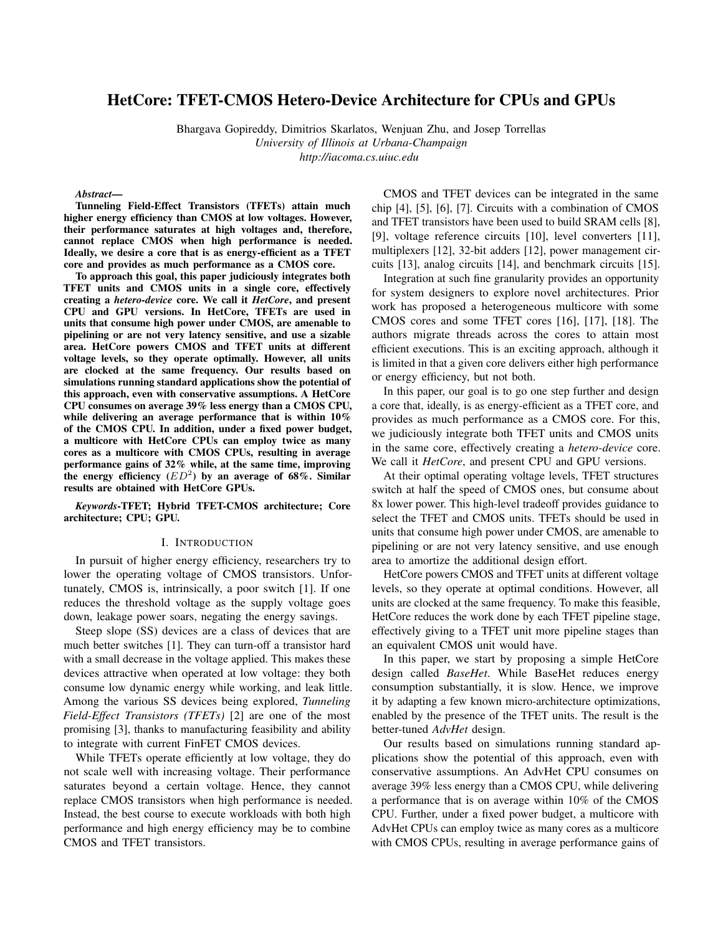# HetCore: TFET-CMOS Hetero-Device Architecture for CPUs and GPUs

Bhargava Gopireddy, Dimitrios Skarlatos, Wenjuan Zhu, and Josep Torrellas *University of Illinois at Urbana-Champaign http://iacoma.cs.uiuc.edu*

#### *Abstract*—

Tunneling Field-Effect Transistors (TFETs) attain much higher energy efficiency than CMOS at low voltages. However, their performance saturates at high voltages and, therefore, cannot replace CMOS when high performance is needed. Ideally, we desire a core that is as energy-efficient as a TFET core and provides as much performance as a CMOS core.

To approach this goal, this paper judiciously integrates both TFET units and CMOS units in a single core, effectively creating a *hetero-device* core. We call it *HetCore*, and present CPU and GPU versions. In HetCore, TFETs are used in units that consume high power under CMOS, are amenable to pipelining or are not very latency sensitive, and use a sizable area. HetCore powers CMOS and TFET units at different voltage levels, so they operate optimally. However, all units are clocked at the same frequency. Our results based on simulations running standard applications show the potential of this approach, even with conservative assumptions. A HetCore CPU consumes on average 39% less energy than a CMOS CPU, while delivering an average performance that is within 10% of the CMOS CPU. In addition, under a fixed power budget, a multicore with HetCore CPUs can employ twice as many cores as a multicore with CMOS CPUs, resulting in average performance gains of 32% while, at the same time, improving the energy efficiency  $(ED^2)$  by an average of 68%. Similar results are obtained with HetCore GPUs.

*Keywords*-TFET; Hybrid TFET-CMOS architecture; Core architecture; CPU; GPU.

# I. INTRODUCTION

In pursuit of higher energy efficiency, researchers try to lower the operating voltage of CMOS transistors. Unfortunately, CMOS is, intrinsically, a poor switch [1]. If one reduces the threshold voltage as the supply voltage goes down, leakage power soars, negating the energy savings.

Steep slope (SS) devices are a class of devices that are much better switches [1]. They can turn-off a transistor hard with a small decrease in the voltage applied. This makes these devices attractive when operated at low voltage: they both consume low dynamic energy while working, and leak little. Among the various SS devices being explored, *Tunneling Field-Effect Transistors (TFETs)* [2] are one of the most promising [3], thanks to manufacturing feasibility and ability to integrate with current FinFET CMOS devices.

While TFETs operate efficiently at low voltage, they do not scale well with increasing voltage. Their performance saturates beyond a certain voltage. Hence, they cannot replace CMOS transistors when high performance is needed. Instead, the best course to execute workloads with both high performance and high energy efficiency may be to combine CMOS and TFET transistors.

CMOS and TFET devices can be integrated in the same chip [4], [5], [6], [7]. Circuits with a combination of CMOS and TFET transistors have been used to build SRAM cells [8], [9], voltage reference circuits [10], level converters [11], multiplexers [12], 32-bit adders [12], power management circuits [13], analog circuits [14], and benchmark circuits [15].

Integration at such fine granularity provides an opportunity for system designers to explore novel architectures. Prior work has proposed a heterogeneous multicore with some CMOS cores and some TFET cores [16], [17], [18]. The authors migrate threads across the cores to attain most efficient executions. This is an exciting approach, although it is limited in that a given core delivers either high performance or energy efficiency, but not both.

In this paper, our goal is to go one step further and design a core that, ideally, is as energy-efficient as a TFET core, and provides as much performance as a CMOS core. For this, we judiciously integrate both TFET units and CMOS units in the same core, effectively creating a *hetero-device* core. We call it *HetCore*, and present CPU and GPU versions.

At their optimal operating voltage levels, TFET structures switch at half the speed of CMOS ones, but consume about 8x lower power. This high-level tradeoff provides guidance to select the TFET and CMOS units. TFETs should be used in units that consume high power under CMOS, are amenable to pipelining or are not very latency sensitive, and use enough area to amortize the additional design effort.

HetCore powers CMOS and TFET units at different voltage levels, so they operate at optimal conditions. However, all units are clocked at the same frequency. To make this feasible, HetCore reduces the work done by each TFET pipeline stage, effectively giving to a TFET unit more pipeline stages than an equivalent CMOS unit would have.

In this paper, we start by proposing a simple HetCore design called *BaseHet*. While BaseHet reduces energy consumption substantially, it is slow. Hence, we improve it by adapting a few known micro-architecture optimizations, enabled by the presence of the TFET units. The result is the better-tuned *AdvHet* design.

Our results based on simulations running standard applications show the potential of this approach, even with conservative assumptions. An AdvHet CPU consumes on average 39% less energy than a CMOS CPU, while delivering a performance that is on average within 10% of the CMOS CPU. Further, under a fixed power budget, a multicore with AdvHet CPUs can employ twice as many cores as a multicore with CMOS CPUs, resulting in average performance gains of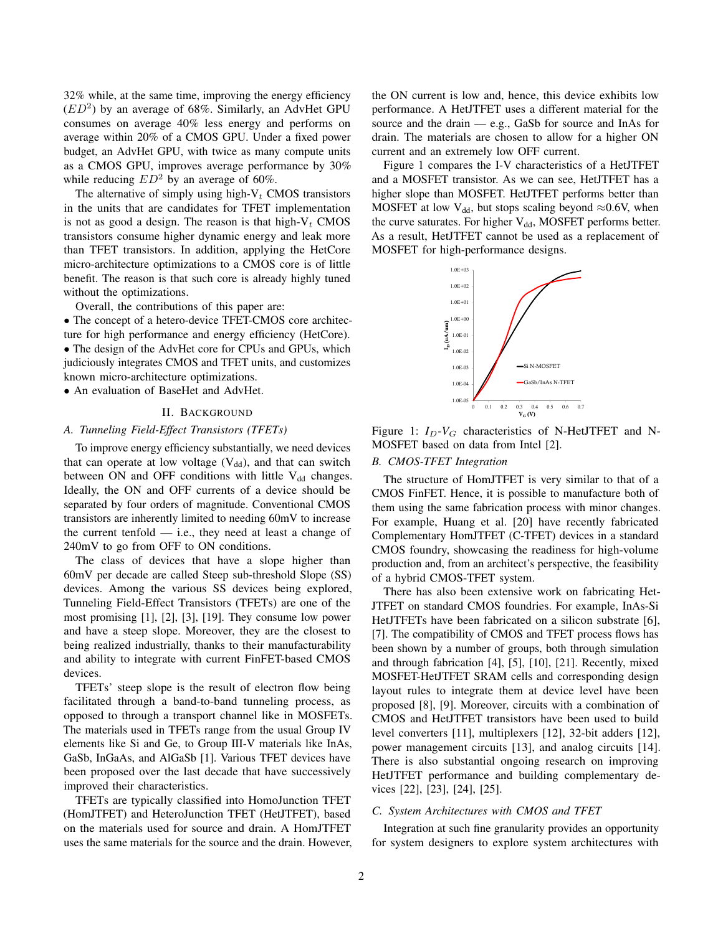32% while, at the same time, improving the energy efficiency  $(ED<sup>2</sup>)$  by an average of 68%. Similarly, an AdvHet GPU consumes on average 40% less energy and performs on average within 20% of a CMOS GPU. Under a fixed power budget, an AdvHet GPU, with twice as many compute units as a CMOS GPU, improves average performance by 30% while reducing  $ED^2$  by an average of 60%.

The alternative of simply using high- $V_t$  CMOS transistors in the units that are candidates for TFET implementation is not as good a design. The reason is that high- $V_t$  CMOS transistors consume higher dynamic energy and leak more than TFET transistors. In addition, applying the HetCore micro-architecture optimizations to a CMOS core is of little benefit. The reason is that such core is already highly tuned without the optimizations.

Overall, the contributions of this paper are:

• The concept of a hetero-device TFET-CMOS core architecture for high performance and energy efficiency (HetCore). • The design of the AdvHet core for CPUs and GPUs, which judiciously integrates CMOS and TFET units, and customizes known micro-architecture optimizations.

• An evaluation of BaseHet and AdvHet.

#### II. BACKGROUND

# *A. Tunneling Field-Effect Transistors (TFETs)*

To improve energy efficiency substantially, we need devices that can operate at low voltage  $(V_{dd})$ , and that can switch between ON and OFF conditions with little  $V_{dd}$  changes. Ideally, the ON and OFF currents of a device should be separated by four orders of magnitude. Conventional CMOS transistors are inherently limited to needing 60mV to increase the current tenfold — i.e., they need at least a change of 240mV to go from OFF to ON conditions.

The class of devices that have a slope higher than 60mV per decade are called Steep sub-threshold Slope (SS) devices. Among the various SS devices being explored, Tunneling Field-Effect Transistors (TFETs) are one of the most promising [1], [2], [3], [19]. They consume low power and have a steep slope. Moreover, they are the closest to being realized industrially, thanks to their manufacturability and ability to integrate with current FinFET-based CMOS devices.

TFETs' steep slope is the result of electron flow being facilitated through a band-to-band tunneling process, as opposed to through a transport channel like in MOSFETs. The materials used in TFETs range from the usual Group IV elements like Si and Ge, to Group III-V materials like InAs, GaSb, InGaAs, and AlGaSb [1]. Various TFET devices have been proposed over the last decade that have successively improved their characteristics.

TFETs are typically classified into HomoJunction TFET (HomJTFET) and HeteroJunction TFET (HetJTFET), based on the materials used for source and drain. A HomJTFET uses the same materials for the source and the drain. However, the ON current is low and, hence, this device exhibits low performance. A HetJTFET uses a different material for the source and the drain — e.g., GaSb for source and InAs for drain. The materials are chosen to allow for a higher ON current and an extremely low OFF current.

Figure 1 compares the I-V characteristics of a HetJTFET and a MOSFET transistor. As we can see, HetJTFET has a higher slope than MOSFET. HetJTFET performs better than MOSFET at low V<sub>dd</sub>, but stops scaling beyond  $\approx 0.6$ V, when the curve saturates. For higher  $V_{dd}$ , MOSFET performs better. As a result, HetJTFET cannot be used as a replacement of MOSFET for high-performance designs.



Figure 1:  $I_D-V_G$  characteristics of N-HetJTFET and N-MOSFET based on data from Intel [2].

# *B. CMOS-TFET Integration*

The structure of HomJTFET is very similar to that of a CMOS FinFET. Hence, it is possible to manufacture both of them using the same fabrication process with minor changes. For example, Huang et al. [20] have recently fabricated Complementary HomJTFET (C-TFET) devices in a standard CMOS foundry, showcasing the readiness for high-volume production and, from an architect's perspective, the feasibility of a hybrid CMOS-TFET system.

There has also been extensive work on fabricating Het-JTFET on standard CMOS foundries. For example, InAs-Si HetJTFETs have been fabricated on a silicon substrate [6], [7]. The compatibility of CMOS and TFET process flows has been shown by a number of groups, both through simulation and through fabrication [4], [5], [10], [21]. Recently, mixed MOSFET-HetJTFET SRAM cells and corresponding design layout rules to integrate them at device level have been proposed [8], [9]. Moreover, circuits with a combination of CMOS and HetJTFET transistors have been used to build level converters [11], multiplexers [12], 32-bit adders [12], power management circuits [13], and analog circuits [14]. There is also substantial ongoing research on improving HetJTFET performance and building complementary devices [22], [23], [24], [25].

# *C. System Architectures with CMOS and TFET*

Integration at such fine granularity provides an opportunity for system designers to explore system architectures with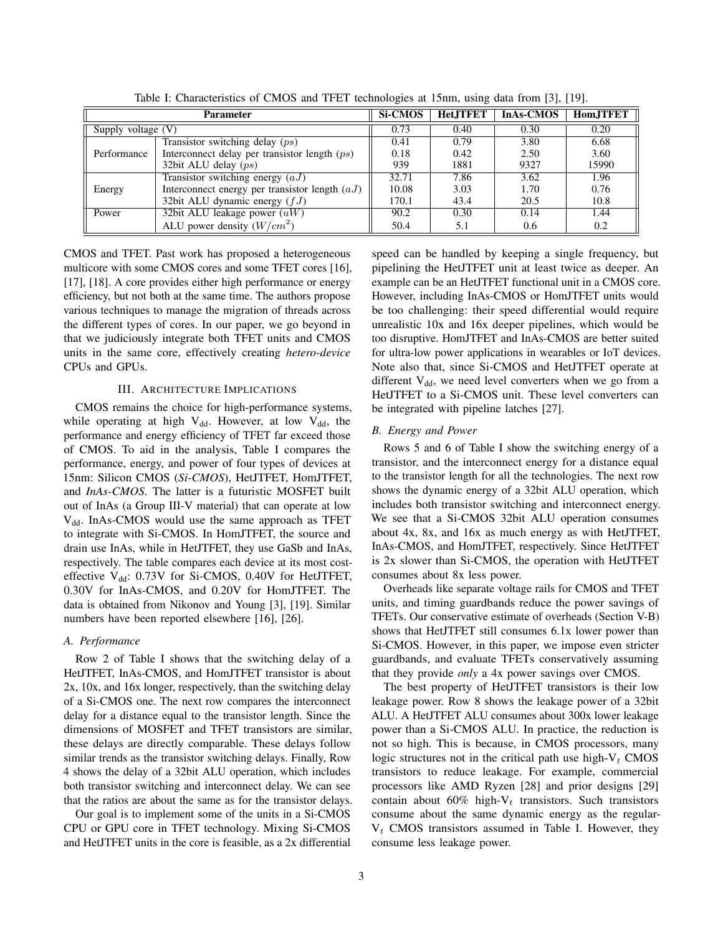| <b>Parameter</b>   |                                                  | <b>Si-CMOS</b> | <b>HetJTFET</b> | <b>InAs-CMOS</b> | Hom.JTFET |
|--------------------|--------------------------------------------------|----------------|-----------------|------------------|-----------|
| Supply voltage (V) |                                                  | 0.73           | 0.40            | 0.30             | 0.20      |
|                    | Transistor switching delay $(ps)$                | 0.41           | 0.79            | 3.80             | 6.68      |
| Performance        | Interconnect delay per transistor length $(ps)$  | 0.18           | 0.42            | 2.50             | 3.60      |
|                    | 32bit ALU delay $(ps)$                           | 939            | 1881            | 9327             | 15990     |
|                    | Transistor switching energy $(aJ)$               | 32.71          | 7.86            | 3.62             | 1.96      |
| Energy             | Interconnect energy per transistor length $(aJ)$ | 10.08          | 3.03            | 1.70             | 0.76      |
|                    | 32bit ALU dynamic energy $(fJ)$                  | 170.1          | 43.4            | 20.5             | 10.8      |
| Power              | 32bit ALU leakage power $(uW)$                   | 90.2           | 0.30            | 0.14             | 1.44      |
|                    | ALU power density $(W/cm^2)$                     | 50.4           | 5.1             | 0.6              | 0.2       |

Table I: Characteristics of CMOS and TFET technologies at 15nm, using data from [3], [19].

CMOS and TFET. Past work has proposed a heterogeneous multicore with some CMOS cores and some TFET cores [16], [17], [18]. A core provides either high performance or energy efficiency, but not both at the same time. The authors propose various techniques to manage the migration of threads across the different types of cores. In our paper, we go beyond in that we judiciously integrate both TFET units and CMOS units in the same core, effectively creating *hetero-device* CPUs and GPUs.

# III. ARCHITECTURE IMPLICATIONS

CMOS remains the choice for high-performance systems, while operating at high  $V_{dd}$ . However, at low  $V_{dd}$ , the performance and energy efficiency of TFET far exceed those of CMOS. To aid in the analysis, Table I compares the performance, energy, and power of four types of devices at 15nm: Silicon CMOS (*Si-CMOS*), HetJTFET, HomJTFET, and *InAs-CMOS*. The latter is a futuristic MOSFET built out of InAs (a Group III-V material) that can operate at low  $V_{dd}$ . InAs-CMOS would use the same approach as TFET to integrate with Si-CMOS. In HomJTFET, the source and drain use InAs, while in HetJTFET, they use GaSb and InAs, respectively. The table compares each device at its most costeffective  $V_{dd}$ : 0.73V for Si-CMOS, 0.40V for HetJTFET, 0.30V for InAs-CMOS, and 0.20V for HomJTFET. The data is obtained from Nikonov and Young [3], [19]. Similar numbers have been reported elsewhere [16], [26].

# *A. Performance*

Row 2 of Table I shows that the switching delay of a HetJTFET, InAs-CMOS, and HomJTFET transistor is about 2x, 10x, and 16x longer, respectively, than the switching delay of a Si-CMOS one. The next row compares the interconnect delay for a distance equal to the transistor length. Since the dimensions of MOSFET and TFET transistors are similar, these delays are directly comparable. These delays follow similar trends as the transistor switching delays. Finally, Row 4 shows the delay of a 32bit ALU operation, which includes both transistor switching and interconnect delay. We can see that the ratios are about the same as for the transistor delays.

Our goal is to implement some of the units in a Si-CMOS CPU or GPU core in TFET technology. Mixing Si-CMOS and HetJTFET units in the core is feasible, as a 2x differential speed can be handled by keeping a single frequency, but pipelining the HetJTFET unit at least twice as deeper. An example can be an HetJTFET functional unit in a CMOS core. However, including InAs-CMOS or HomJTFET units would be too challenging: their speed differential would require unrealistic 10x and 16x deeper pipelines, which would be too disruptive. HomJTFET and InAs-CMOS are better suited for ultra-low power applications in wearables or IoT devices. Note also that, since Si-CMOS and HetJTFET operate at different  $V_{dd}$ , we need level converters when we go from a HetJTFET to a Si-CMOS unit. These level converters can be integrated with pipeline latches [27].

# *B. Energy and Power*

Rows 5 and 6 of Table I show the switching energy of a transistor, and the interconnect energy for a distance equal to the transistor length for all the technologies. The next row shows the dynamic energy of a 32bit ALU operation, which includes both transistor switching and interconnect energy. We see that a Si-CMOS 32bit ALU operation consumes about 4x, 8x, and 16x as much energy as with HetJTFET, InAs-CMOS, and HomJTFET, respectively. Since HetJTFET is 2x slower than Si-CMOS, the operation with HetJTFET consumes about 8x less power.

Overheads like separate voltage rails for CMOS and TFET units, and timing guardbands reduce the power savings of TFETs. Our conservative estimate of overheads (Section V-B) shows that HetJTFET still consumes 6.1x lower power than Si-CMOS. However, in this paper, we impose even stricter guardbands, and evaluate TFETs conservatively assuming that they provide *only* a 4x power savings over CMOS.

The best property of HetJTFET transistors is their low leakage power. Row 8 shows the leakage power of a 32bit ALU. A HetJTFET ALU consumes about 300x lower leakage power than a Si-CMOS ALU. In practice, the reduction is not so high. This is because, in CMOS processors, many logic structures not in the critical path use high- $V_t$  CMOS transistors to reduce leakage. For example, commercial processors like AMD Ryzen [28] and prior designs [29] contain about 60% high- $V_t$  transistors. Such transistors consume about the same dynamic energy as the regular- $V_t$  CMOS transistors assumed in Table I. However, they consume less leakage power.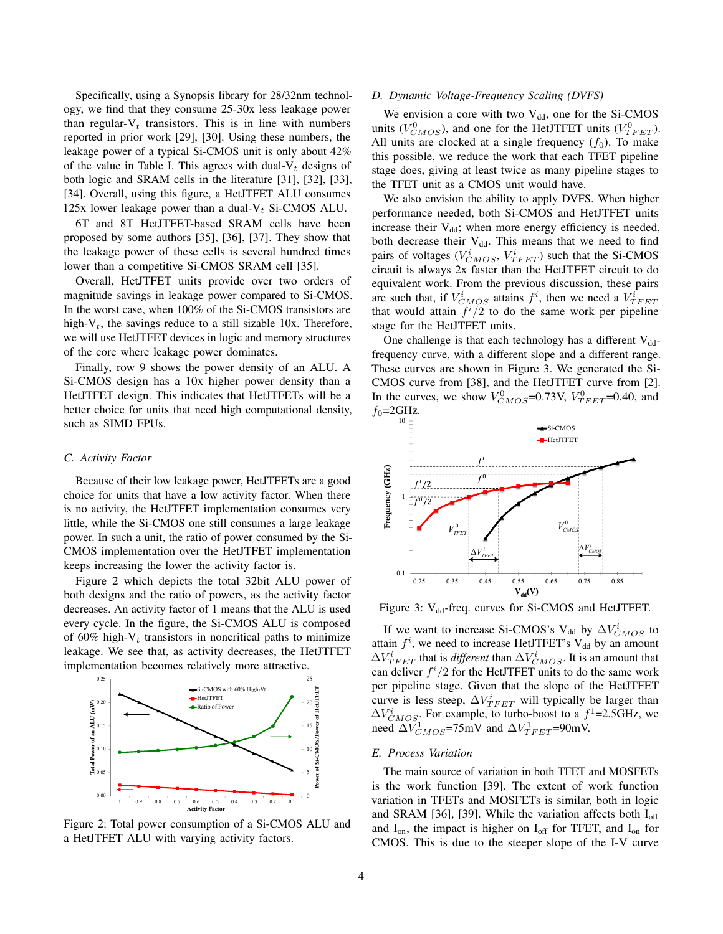Specifically, using a Synopsis library for 28/32nm technology, we find that they consume 25-30x less leakage power than regular- $V_t$  transistors. This is in line with numbers reported in prior work [29], [30]. Using these numbers, the leakage power of a typical Si-CMOS unit is only about 42% of the value in Table I. This agrees with dual- $V_t$  designs of both logic and SRAM cells in the literature [31], [32], [33], [34]. Overall, using this figure, a HetJTFET ALU consumes 125x lower leakage power than a dual- $V_t$  Si-CMOS ALU.

6T and 8T HetJTFET-based SRAM cells have been proposed by some authors [35], [36], [37]. They show that the leakage power of these cells is several hundred times lower than a competitive Si-CMOS SRAM cell [35].

Overall, HetJTFET units provide over two orders of magnitude savings in leakage power compared to Si-CMOS. In the worst case, when 100% of the Si-CMOS transistors are high- $V_t$ , the savings reduce to a still sizable 10x. Therefore, we will use HetJTFET devices in logic and memory structures of the core where leakage power dominates.

Finally, row 9 shows the power density of an ALU. A Si-CMOS design has a 10x higher power density than a HetJTFET design. This indicates that HetJTFETs will be a better choice for units that need high computational density, such as SIMD FPUs.

#### *C. Activity Factor*

Because of their low leakage power, HetJTFETs are a good choice for units that have a low activity factor. When there is no activity, the HetJTFET implementation consumes very little, while the Si-CMOS one still consumes a large leakage power. In such a unit, the ratio of power consumed by the Si-CMOS implementation over the HetJTFET implementation keeps increasing the lower the activity factor is.

Figure 2 which depicts the total 32bit ALU power of both designs and the ratio of powers, as the activity factor decreases. An activity factor of 1 means that the ALU is used every cycle. In the figure, the Si-CMOS ALU is composed of 60% high- $V_t$  transistors in noncritical paths to minimize leakage. We see that, as activity decreases, the HetJTFET implementation becomes relatively more attractive.



Figure 2: Total power consumption of a Si-CMOS ALU and a HetJTFET ALU with varying activity factors.

# *D. Dynamic Voltage-Frequency Scaling (DVFS)*

We envision a core with two  $V_{dd}$ , one for the Si-CMOS units ( $V_{CMOS}^0$ ), and one for the HetJTFET units ( $V_{TFET}^0$ ). All units are clocked at a single frequency  $(f_0)$ . To make this possible, we reduce the work that each TFET pipeline stage does, giving at least twice as many pipeline stages to the TFET unit as a CMOS unit would have.

We also envision the ability to apply DVFS. When higher performance needed, both Si-CMOS and HetJTFET units increase their  $V_{dd}$ ; when more energy efficiency is needed, both decrease their  $V_{dd}$ . This means that we need to find pairs of voltages ( $V_{CMOS}^i$ ,  $V_{TFET}^i$ ) such that the Si-CMOS circuit is always 2x faster than the HetJTFET circuit to do equivalent work. From the previous discussion, these pairs are such that, if  $V_{CMOS}^i$  attains  $f^i$ , then we need a  $V_{TFET}^i$ that would attain  $f^{i}/2$  to do the same work per pipeline stage for the HetJTFET units.

One challenge is that each technology has a different  $V_{dd}$ frequency curve, with a different slope and a different range. These curves are shown in Figure 3. We generated the Si-CMOS curve from [38], and the HetJTFET curve from [2]. In the curves, we show  $V_{CMOS}^0$ =0.73V,  $V_{TFET}^0$ =0.40, and  $f_0 = 2$ GHz.



Figure 3:  $V_{dd}$ -freq. curves for Si-CMOS and HetJTFET.

<sup>15</sup><sub> $\frac{15}{8}$ </sub> need  $\Delta V_{CMOS}^1$ =75mV and  $\Delta V_{TFET}^1$ =90mV. HetITFET  $\ell$   $\downarrow$  20  $\frac{E}{3}$  curve is less steep,  $\Delta V_{TFET}^i$  will typically be larger than  $\frac{25}{5}$  per pipeline stage. Given that the slope of the HetJTFET If we want to increase Si-CMOS's V<sub>dd</sub> by  $\Delta V_{CMOS}^i$  to attain  $f^i$ , we need to increase HetJTFET's  $V_{dd}$  by an amount  $\Delta V_{TFET}^i$  that is *different* than  $\Delta V_{CMOS}^i$ . It is an amount that can deliver  $f^i/2$  for the HetJTFET units to do the same work  $\Delta V_{CMOS}^i$ . For example, to turbo-boost to a  $f^1$ =2.5GHz, we

# 10 *E. Process Variation*

<sup>0</sup> variation in TFETs and MOSFETs is similar, both in logic <sup>5</sup><sup>5</sup>/<sub>5</sub></sub> The main source of variation in both TFET and MOSFETs is the work function [39]. The extent of work function and SRAM [36], [39]. While the variation affects both  $I_{off}$ and  $I_{on}$ , the impact is higher on  $I_{off}$  for TFET, and  $I_{on}$  for CMOS. This is due to the steeper slope of the I-V curve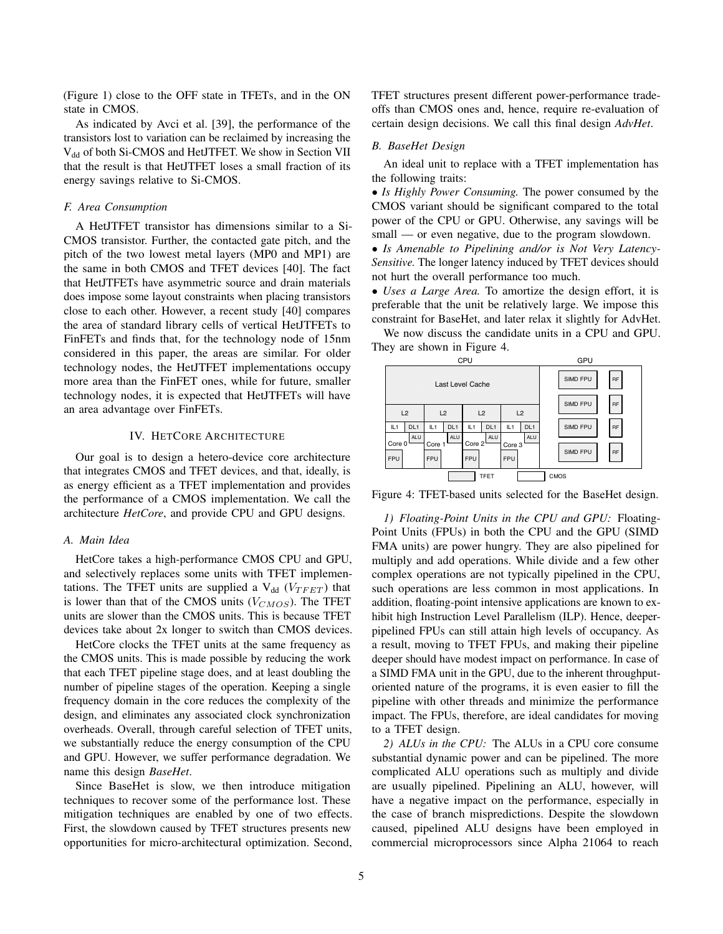(Figure 1) close to the OFF state in TFETs, and in the ON state in CMOS.

As indicated by Avci et al. [39], the performance of the transistors lost to variation can be reclaimed by increasing the V<sub>dd</sub> of both Si-CMOS and HetJTFET. We show in Section VII that the result is that HetJTFET loses a small fraction of its energy savings relative to Si-CMOS.

# *F. Area Consumption*

A HetJTFET transistor has dimensions similar to a Si-CMOS transistor. Further, the contacted gate pitch, and the pitch of the two lowest metal layers (MP0 and MP1) are the same in both CMOS and TFET devices [40]. The fact that HetJTFETs have asymmetric source and drain materials does impose some layout constraints when placing transistors close to each other. However, a recent study [40] compares the area of standard library cells of vertical HetJTFETs to FinFETs and finds that, for the technology node of 15nm considered in this paper, the areas are similar. For older technology nodes, the HetJTFET implementations occupy more area than the FinFET ones, while for future, smaller technology nodes, it is expected that HetJTFETs will have an area advantage over FinFETs.

# IV. HETCORE ARCHITECTURE

Our goal is to design a hetero-device core architecture that integrates CMOS and TFET devices, and that, ideally, is as energy efficient as a TFET implementation and provides the performance of a CMOS implementation. We call the architecture *HetCore*, and provide CPU and GPU designs.

# *A. Main Idea*

HetCore takes a high-performance CMOS CPU and GPU, and selectively replaces some units with TFET implementations. The TFET units are supplied a  $V_{dd}$  ( $V_{T F E T}$ ) that is lower than that of the CMOS units  $(V_{CMOS})$ . The TFET units are slower than the CMOS units. This is because TFET devices take about 2x longer to switch than CMOS devices.

HetCore clocks the TFET units at the same frequency as the CMOS units. This is made possible by reducing the work that each TFET pipeline stage does, and at least doubling the number of pipeline stages of the operation. Keeping a single frequency domain in the core reduces the complexity of the design, and eliminates any associated clock synchronization overheads. Overall, through careful selection of TFET units, we substantially reduce the energy consumption of the CPU and GPU. However, we suffer performance degradation. We name this design *BaseHet*.

Since BaseHet is slow, we then introduce mitigation techniques to recover some of the performance lost. These mitigation techniques are enabled by one of two effects. First, the slowdown caused by TFET structures presents new opportunities for micro-architectural optimization. Second,

TFET structures present different power-performance tradeoffs than CMOS ones and, hence, require re-evaluation of certain design decisions. We call this final design *AdvHet*.

### *B. BaseHet Design*

An ideal unit to replace with a TFET implementation has the following traits:

• *Is Highly Power Consuming.* The power consumed by the CMOS variant should be significant compared to the total power of the CPU or GPU. Otherwise, any savings will be small — or even negative, due to the program slowdown.

• *Is Amenable to Pipelining and/or is Not Very Latency-Sensitive.* The longer latency induced by TFET devices should not hurt the overall performance too much.

• *Uses a Large Area.* To amortize the design effort, it is preferable that the unit be relatively large. We impose this constraint for BaseHet, and later relax it slightly for AdvHet.

We now discuss the candidate units in a CPU and GPU. They are shown in Figure 4.



Figure 4: TFET-based units selected for the BaseHet design.

*1) Floating-Point Units in the CPU and GPU:* Floating-Point Units (FPUs) in both the CPU and the GPU (SIMD FMA units) are power hungry. They are also pipelined for multiply and add operations. While divide and a few other complex operations are not typically pipelined in the CPU, such operations are less common in most applications. In addition, floating-point intensive applications are known to exhibit high Instruction Level Parallelism (ILP). Hence, deeperpipelined FPUs can still attain high levels of occupancy. As a result, moving to TFET FPUs, and making their pipeline deeper should have modest impact on performance. In case of a SIMD FMA unit in the GPU, due to the inherent throughputoriented nature of the programs, it is even easier to fill the pipeline with other threads and minimize the performance impact. The FPUs, therefore, are ideal candidates for moving to a TFET design.

*2) ALUs in the CPU:* The ALUs in a CPU core consume substantial dynamic power and can be pipelined. The more complicated ALU operations such as multiply and divide are usually pipelined. Pipelining an ALU, however, will have a negative impact on the performance, especially in the case of branch mispredictions. Despite the slowdown caused, pipelined ALU designs have been employed in commercial microprocessors since Alpha 21064 to reach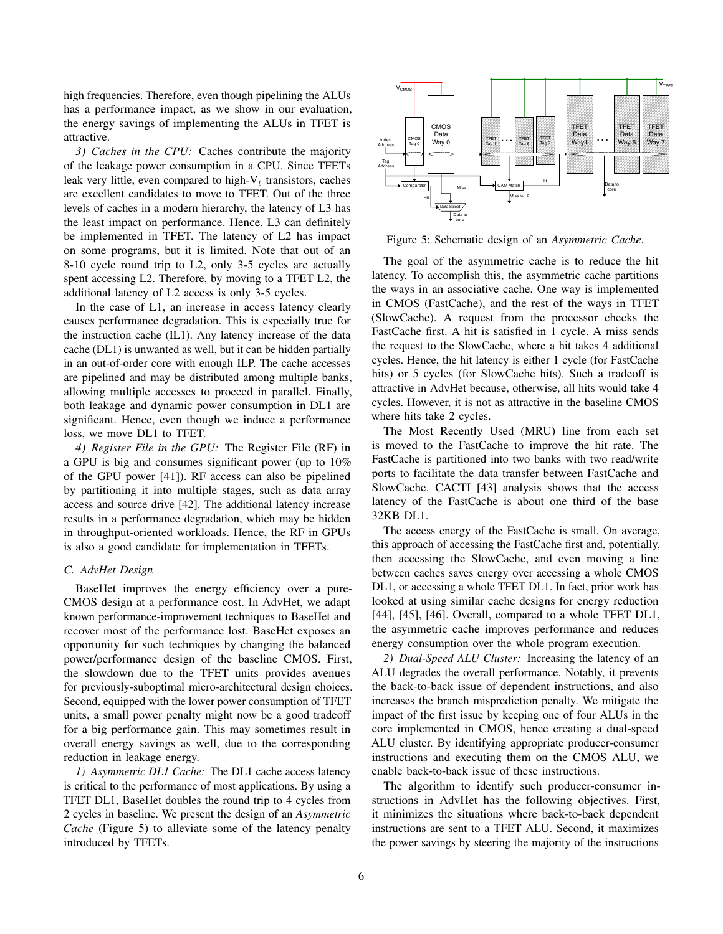high frequencies. Therefore, even though pipelining the ALUs has a performance impact, as we show in our evaluation, the energy savings of implementing the ALUs in TFET is attractive.

*3) Caches in the CPU:* Caches contribute the majority of the leakage power consumption in a CPU. Since TFETs leak very little, even compared to high- $V_t$  transistors, caches are excellent candidates to move to TFET. Out of the three levels of caches in a modern hierarchy, the latency of L3 has the least impact on performance. Hence, L3 can definitely be implemented in TFET. The latency of L2 has impact on some programs, but it is limited. Note that out of an 8-10 cycle round trip to L2, only 3-5 cycles are actually spent accessing L2. Therefore, by moving to a TFET L2, the additional latency of L2 access is only 3-5 cycles.

In the case of L1, an increase in access latency clearly causes performance degradation. This is especially true for the instruction cache (IL1). Any latency increase of the data cache (DL1) is unwanted as well, but it can be hidden partially in an out-of-order core with enough ILP. The cache accesses are pipelined and may be distributed among multiple banks, allowing multiple accesses to proceed in parallel. Finally, both leakage and dynamic power consumption in DL1 are significant. Hence, even though we induce a performance loss, we move DL1 to TFET.

*4) Register File in the GPU:* The Register File (RF) in a GPU is big and consumes significant power (up to 10% of the GPU power [41]). RF access can also be pipelined by partitioning it into multiple stages, such as data array access and source drive [42]. The additional latency increase results in a performance degradation, which may be hidden in throughput-oriented workloads. Hence, the RF in GPUs is also a good candidate for implementation in TFETs.

# *C. AdvHet Design*

BaseHet improves the energy efficiency over a pure-CMOS design at a performance cost. In AdvHet, we adapt known performance-improvement techniques to BaseHet and recover most of the performance lost. BaseHet exposes an opportunity for such techniques by changing the balanced power/performance design of the baseline CMOS. First, the slowdown due to the TFET units provides avenues for previously-suboptimal micro-architectural design choices. Second, equipped with the lower power consumption of TFET units, a small power penalty might now be a good tradeoff for a big performance gain. This may sometimes result in overall energy savings as well, due to the corresponding reduction in leakage energy.

*1) Asymmetric DL1 Cache:* The DL1 cache access latency is critical to the performance of most applications. By using a TFET DL1, BaseHet doubles the round trip to 4 cycles from 2 cycles in baseline. We present the design of an *Asymmetric Cache* (Figure 5) to alleviate some of the latency penalty introduced by TFETs.



Figure 5: Schematic design of an *Asymmetric Cache*.

The goal of the asymmetric cache is to reduce the hit latency. To accomplish this, the asymmetric cache partitions the ways in an associative cache. One way is implemented in CMOS (FastCache), and the rest of the ways in TFET (SlowCache). A request from the processor checks the FastCache first. A hit is satisfied in 1 cycle. A miss sends the request to the SlowCache, where a hit takes 4 additional cycles. Hence, the hit latency is either 1 cycle (for FastCache hits) or 5 cycles (for SlowCache hits). Such a tradeoff is attractive in AdvHet because, otherwise, all hits would take 4 cycles. However, it is not as attractive in the baseline CMOS where hits take 2 cycles.

The Most Recently Used (MRU) line from each set is moved to the FastCache to improve the hit rate. The FastCache is partitioned into two banks with two read/write ports to facilitate the data transfer between FastCache and SlowCache. CACTI [43] analysis shows that the access latency of the FastCache is about one third of the base 32KB DL1.

The access energy of the FastCache is small. On average, this approach of accessing the FastCache first and, potentially, then accessing the SlowCache, and even moving a line between caches saves energy over accessing a whole CMOS DL1, or accessing a whole TFET DL1. In fact, prior work has looked at using similar cache designs for energy reduction [44], [45], [46]. Overall, compared to a whole TFET DL1, the asymmetric cache improves performance and reduces energy consumption over the whole program execution.

*2) Dual-Speed ALU Cluster:* Increasing the latency of an ALU degrades the overall performance. Notably, it prevents the back-to-back issue of dependent instructions, and also increases the branch misprediction penalty. We mitigate the impact of the first issue by keeping one of four ALUs in the core implemented in CMOS, hence creating a dual-speed ALU cluster. By identifying appropriate producer-consumer instructions and executing them on the CMOS ALU, we enable back-to-back issue of these instructions.

The algorithm to identify such producer-consumer instructions in AdvHet has the following objectives. First, it minimizes the situations where back-to-back dependent instructions are sent to a TFET ALU. Second, it maximizes the power savings by steering the majority of the instructions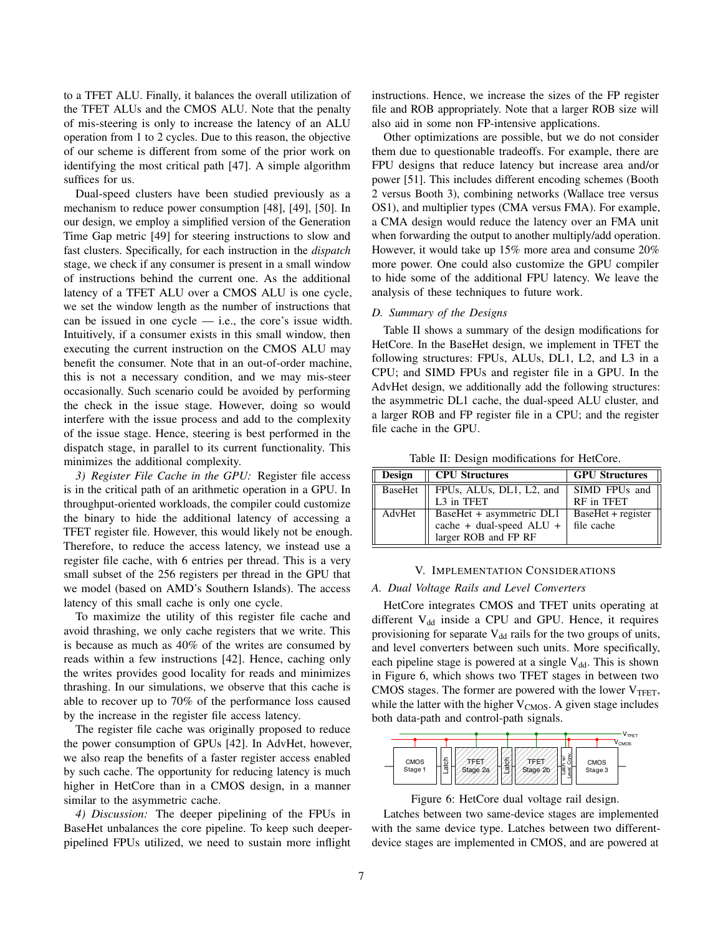to a TFET ALU. Finally, it balances the overall utilization of the TFET ALUs and the CMOS ALU. Note that the penalty of mis-steering is only to increase the latency of an ALU operation from 1 to 2 cycles. Due to this reason, the objective of our scheme is different from some of the prior work on identifying the most critical path [47]. A simple algorithm suffices for us.

Dual-speed clusters have been studied previously as a mechanism to reduce power consumption [48], [49], [50]. In our design, we employ a simplified version of the Generation Time Gap metric [49] for steering instructions to slow and fast clusters. Specifically, for each instruction in the *dispatch* stage, we check if any consumer is present in a small window of instructions behind the current one. As the additional latency of a TFET ALU over a CMOS ALU is one cycle, we set the window length as the number of instructions that can be issued in one cycle — i.e., the core's issue width. Intuitively, if a consumer exists in this small window, then executing the current instruction on the CMOS ALU may benefit the consumer. Note that in an out-of-order machine, this is not a necessary condition, and we may mis-steer occasionally. Such scenario could be avoided by performing the check in the issue stage. However, doing so would interfere with the issue process and add to the complexity of the issue stage. Hence, steering is best performed in the dispatch stage, in parallel to its current functionality. This minimizes the additional complexity.

*3) Register File Cache in the GPU:* Register file access is in the critical path of an arithmetic operation in a GPU. In throughput-oriented workloads, the compiler could customize the binary to hide the additional latency of accessing a TFET register file. However, this would likely not be enough. Therefore, to reduce the access latency, we instead use a register file cache, with 6 entries per thread. This is a very small subset of the 256 registers per thread in the GPU that we model (based on AMD's Southern Islands). The access latency of this small cache is only one cycle.

To maximize the utility of this register file cache and avoid thrashing, we only cache registers that we write. This is because as much as 40% of the writes are consumed by reads within a few instructions [42]. Hence, caching only the writes provides good locality for reads and minimizes thrashing. In our simulations, we observe that this cache is able to recover up to 70% of the performance loss caused by the increase in the register file access latency.

The register file cache was originally proposed to reduce the power consumption of GPUs [42]. In AdvHet, however, we also reap the benefits of a faster register access enabled by such cache. The opportunity for reducing latency is much higher in HetCore than in a CMOS design, in a manner similar to the asymmetric cache.

*4) Discussion:* The deeper pipelining of the FPUs in BaseHet unbalances the core pipeline. To keep such deeperpipelined FPUs utilized, we need to sustain more inflight instructions. Hence, we increase the sizes of the FP register file and ROB appropriately. Note that a larger ROB size will also aid in some non FP-intensive applications.

Other optimizations are possible, but we do not consider them due to questionable tradeoffs. For example, there are FPU designs that reduce latency but increase area and/or power [51]. This includes different encoding schemes (Booth 2 versus Booth 3), combining networks (Wallace tree versus OS1), and multiplier types (CMA versus FMA). For example, a CMA design would reduce the latency over an FMA unit when forwarding the output to another multiply/add operation. However, it would take up 15% more area and consume 20% more power. One could also customize the GPU compiler to hide some of the additional FPU latency. We leave the analysis of these techniques to future work.

# *D. Summary of the Designs*

Table II shows a summary of the design modifications for HetCore. In the BaseHet design, we implement in TFET the following structures: FPUs, ALUs, DL1, L2, and L3 in a CPU; and SIMD FPUs and register file in a GPU. In the AdvHet design, we additionally add the following structures: the asymmetric DL1 cache, the dual-speed ALU cluster, and a larger ROB and FP register file in a CPU; and the register file cache in the GPU.

Table II: Design modifications for HetCore.

| <b>Design</b> | <b>CPU Structures</b>    | <b>GPU</b> Structures |
|---------------|--------------------------|-----------------------|
| BaseHet       | FPUs, ALUs, DL1, L2, and | SIMD FPUs and         |
|               | L3 in TFET               | RF in TFET            |
| AdvHet        | BaseHet + asymmetric DL1 | BaseHet + register    |
|               | cache + dual-speed ALU + | file cache            |
|               | larger ROB and FP RF     |                       |

### V. IMPLEMENTATION CONSIDERATIONS

#### *A. Dual Voltage Rails and Level Converters*

HetCore integrates CMOS and TFET units operating at different  $V_{dd}$  inside a CPU and GPU. Hence, it requires provisioning for separate  $V_{dd}$  rails for the two groups of units, and level converters between such units. More specifically, each pipeline stage is powered at a single  $V_{dd}$ . This is shown in Figure 6, which shows two TFET stages in between two CMOS stages. The former are powered with the lower  $V_{TFET}$ , while the latter with the higher  $V_{CMOS}$ . A given stage includes both data-path and control-path signals.



Figure 6: HetCore dual voltage rail design.

Latches between two same-device stages are implemented with the same device type. Latches between two differentdevice stages are implemented in CMOS, and are powered at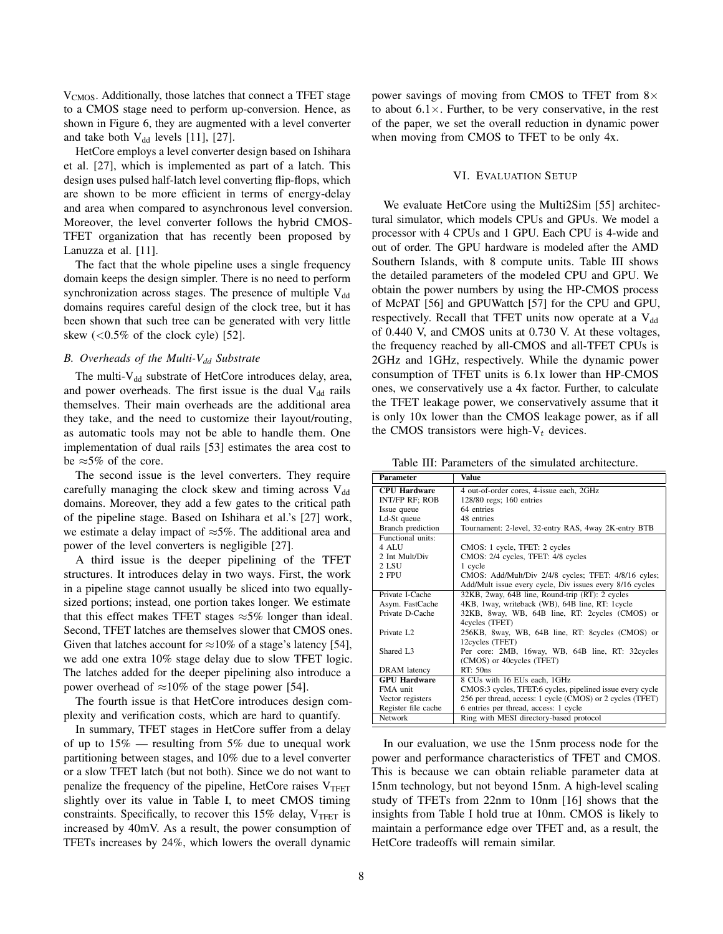V<sub>CMOS</sub>. Additionally, those latches that connect a TFET stage to a CMOS stage need to perform up-conversion. Hence, as shown in Figure 6, they are augmented with a level converter and take both  $V_{dd}$  levels [11], [27].

HetCore employs a level converter design based on Ishihara et al. [27], which is implemented as part of a latch. This design uses pulsed half-latch level converting flip-flops, which are shown to be more efficient in terms of energy-delay and area when compared to asynchronous level conversion. Moreover, the level converter follows the hybrid CMOS-TFET organization that has recently been proposed by Lanuzza et al. [11].

The fact that the whole pipeline uses a single frequency domain keeps the design simpler. There is no need to perform synchronization across stages. The presence of multiple  $V_{dd}$ domains requires careful design of the clock tree, but it has been shown that such tree can be generated with very little skew  $\left($  < 0.5% of the clock cyle) [52].

# *B. Overheads of the Multi-Vdd Substrate*

The multi- $V_{dd}$  substrate of HetCore introduces delay, area, and power overheads. The first issue is the dual  $V_{dd}$  rails themselves. Their main overheads are the additional area they take, and the need to customize their layout/routing, as automatic tools may not be able to handle them. One implementation of dual rails [53] estimates the area cost to be  $\approx$ 5% of the core.

The second issue is the level converters. They require carefully managing the clock skew and timing across  $V_{dd}$ domains. Moreover, they add a few gates to the critical path of the pipeline stage. Based on Ishihara et al.'s [27] work, we estimate a delay impact of ≈5%. The additional area and power of the level converters is negligible [27].

A third issue is the deeper pipelining of the TFET structures. It introduces delay in two ways. First, the work in a pipeline stage cannot usually be sliced into two equallysized portions; instead, one portion takes longer. We estimate that this effect makes TFET stages  $\approx$ 5% longer than ideal. Second, TFET latches are themselves slower that CMOS ones. Given that latches account for  $\approx 10\%$  of a stage's latency [54], we add one extra 10% stage delay due to slow TFET logic. The latches added for the deeper pipelining also introduce a power overhead of  $\approx 10\%$  of the stage power [54].

The fourth issue is that HetCore introduces design complexity and verification costs, which are hard to quantify.

In summary, TFET stages in HetCore suffer from a delay of up to  $15\%$  — resulting from 5% due to unequal work partitioning between stages, and 10% due to a level converter or a slow TFET latch (but not both). Since we do not want to penalize the frequency of the pipeline, HetCore raises  $V_{TFET}$ slightly over its value in Table I, to meet CMOS timing constraints. Specifically, to recover this  $15\%$  delay,  $V_{TFET}$  is increased by 40mV. As a result, the power consumption of TFETs increases by 24%, which lowers the overall dynamic power savings of moving from CMOS to TFET from  $8 \times$ to about  $6.1 \times$ . Further, to be very conservative, in the rest of the paper, we set the overall reduction in dynamic power when moving from CMOS to TFET to be only 4x.

# VI. EVALUATION SETUP

We evaluate HetCore using the Multi2Sim [55] architectural simulator, which models CPUs and GPUs. We model a processor with 4 CPUs and 1 GPU. Each CPU is 4-wide and out of order. The GPU hardware is modeled after the AMD Southern Islands, with 8 compute units. Table III shows the detailed parameters of the modeled CPU and GPU. We obtain the power numbers by using the HP-CMOS process of McPAT [56] and GPUWattch [57] for the CPU and GPU, respectively. Recall that TFET units now operate at a  $V_{dd}$ of 0.440 V, and CMOS units at 0.730 V. At these voltages, the frequency reached by all-CMOS and all-TFET CPUs is 2GHz and 1GHz, respectively. While the dynamic power consumption of TFET units is 6.1x lower than HP-CMOS ones, we conservatively use a 4x factor. Further, to calculate the TFET leakage power, we conservatively assume that it is only 10x lower than the CMOS leakage power, as if all the CMOS transistors were high- $V_t$  devices.

Table III: Parameters of the simulated architecture.

| <b>Parameter</b>       | Value                                                     |
|------------------------|-----------------------------------------------------------|
| <b>CPU Hardware</b>    | 4 out-of-order cores, 4-issue each, 2GHz                  |
| <b>INT/FP RF; ROB</b>  | 128/80 regs; 160 entries                                  |
| Issue queue            | 64 entries                                                |
| Ld-St queue            | 48 entries                                                |
| Branch prediction      | Tournament: 2-level, 32-entry RAS, 4way 2K-entry BTB      |
| Functional units:      |                                                           |
| 4 ALU                  | CMOS: 1 cycle, TFET: 2 cycles                             |
| 2 Int Mult/Div         | CMOS: 2/4 cycles, TFET: 4/8 cycles                        |
| 2 LSU                  | 1 cycle                                                   |
| 2 FPU                  | CMOS: Add/Mult/Div 2/4/8 cycles: TFET: 4/8/16 cyles:      |
|                        | Add/Mult issue every cycle, Div issues every 8/16 cycles  |
| Private I-Cache        | 32KB, 2way, 64B line, Round-trip (RT): 2 cycles           |
| Asym. FastCache        | 4KB, 1way, writeback (WB), 64B line, RT: 1cycle           |
| Private D-Cache        | 32KB, 8way, WB, 64B line, RT: 2cycles (CMOS) or           |
|                        | 4cycles (TFET)                                            |
| Private L <sub>2</sub> | 256KB, 8way, WB, 64B line, RT: 8cycles (CMOS) or          |
|                        | 12cycles (TFET)                                           |
| Shared L <sub>3</sub>  | Per core: 2MB, 16way, WB, 64B line, RT: 32cycles          |
|                        | (CMOS) or 40 cycles (TFET)                                |
| <b>DRAM</b> latency    | RT: 50ns                                                  |
| <b>GPU Hardware</b>    | 8 CUs with 16 EUs each, 1GHz                              |
| FMA unit               | CMOS:3 cycles, TFET:6 cycles, pipelined issue every cycle |
| Vector registers       | 256 per thread, access: 1 cycle (CMOS) or 2 cycles (TFET) |
| Register file cache    | 6 entries per thread, access: 1 cycle                     |
| Network                | Ring with MESI directory-based protocol                   |

In our evaluation, we use the 15nm process node for the power and performance characteristics of TFET and CMOS. This is because we can obtain reliable parameter data at 15nm technology, but not beyond 15nm. A high-level scaling study of TFETs from 22nm to 10nm [16] shows that the insights from Table I hold true at 10nm. CMOS is likely to maintain a performance edge over TFET and, as a result, the HetCore tradeoffs will remain similar.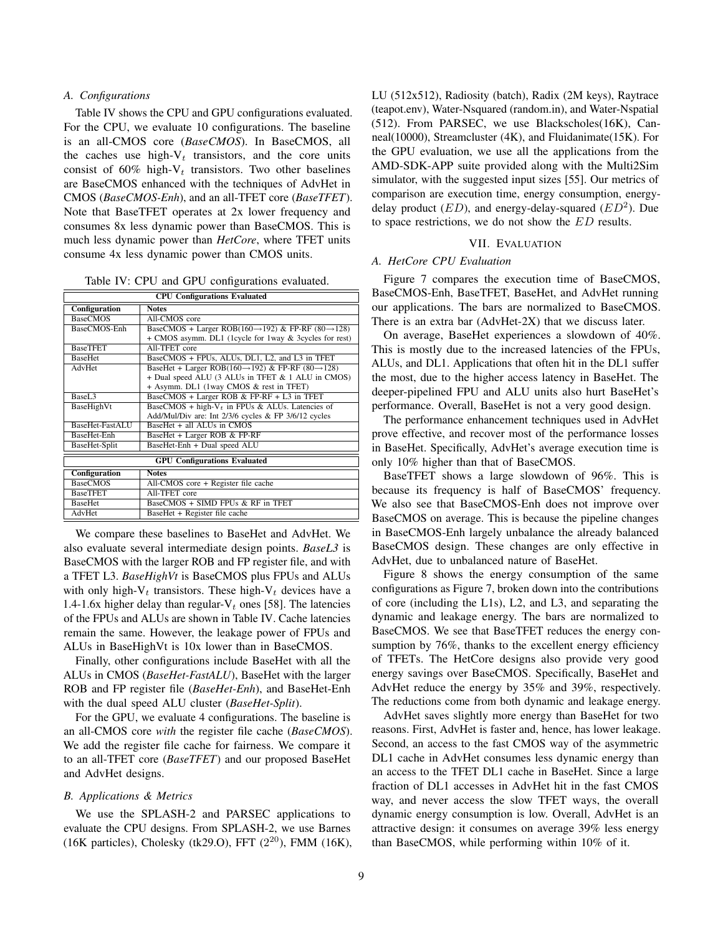# *A. Configurations*

Table IV shows the CPU and GPU configurations evaluated. For the CPU, we evaluate 10 configurations. The baseline is an all-CMOS core (*BaseCMOS*). In BaseCMOS, all the caches use high- $V_t$  transistors, and the core units consist of 60% high- $V_t$  transistors. Two other baselines are BaseCMOS enhanced with the techniques of AdvHet in CMOS (*BaseCMOS-Enh*), and an all-TFET core (*BaseTFET*). Note that BaseTFET operates at 2x lower frequency and consumes 8x less dynamic power than BaseCMOS. This is much less dynamic power than *HetCore*, where TFET units consume 4x less dynamic power than CMOS units.

Table IV: CPU and GPU configurations evaluated.

| <b>CPU Configurations Evaluated</b> |                                                                             |  |  |  |
|-------------------------------------|-----------------------------------------------------------------------------|--|--|--|
| Configuration                       | <b>Notes</b>                                                                |  |  |  |
| <b>BaseCMOS</b>                     | All-CMOS core                                                               |  |  |  |
| BaseCMOS-Enh                        | BaseCMOS + Larger ROB(160 $\rightarrow$ 192) & FP-RF (80 $\rightarrow$ 128) |  |  |  |
|                                     | + CMOS asymm. DL1 (1cycle for 1way & 3cycles for rest)                      |  |  |  |
| <b>BaseTFET</b>                     | All-TFET core                                                               |  |  |  |
| <b>BaseHet</b>                      | BaseCMOS + FPUs, ALUs, DL1, L2, and L3 in TFET                              |  |  |  |
| AdvHet                              | BaseHet + Larger ROB(160 $\rightarrow$ 192) & FP-RF (80 $\rightarrow$ 128)  |  |  |  |
|                                     | + Dual speed ALU (3 ALUs in TFET & 1 ALU in CMOS)                           |  |  |  |
|                                     | + Asymm. DL1 (1way CMOS & rest in TFET)                                     |  |  |  |
| BaseL <sub>3</sub>                  | BaseCMOS + Larger ROB & FP-RF + L3 in TFET                                  |  |  |  |
| BaseHighVt                          | BaseCMOS + high- $V_t$ in FPUs & ALUs. Latencies of                         |  |  |  |
|                                     | Add/Mul/Div are: Int 2/3/6 cycles & FP 3/6/12 cycles                        |  |  |  |
| BaseHet-FastALU                     | BaseHet + all ALUs in CMOS                                                  |  |  |  |
| <b>BaseHet-Enh</b>                  | BaseHet + Larger ROB & FP-RF                                                |  |  |  |
| BaseHet-Split                       | BaseHet-Enh + Dual speed ALU                                                |  |  |  |
| <b>GPU Configurations Evaluated</b> |                                                                             |  |  |  |
| Configuration                       | <b>Notes</b>                                                                |  |  |  |
| <b>BaseCMOS</b>                     | All-CMOS core $+$ Register file cache                                       |  |  |  |
| <b>BaseTFET</b>                     | All-TFET core                                                               |  |  |  |
| <b>BaseHet</b>                      | BaseCMOS + SIMD FPUs & RF in TFET                                           |  |  |  |
| AdvHet                              | BaseHet + Register file cache                                               |  |  |  |

We compare these baselines to BaseHet and AdvHet. We also evaluate several intermediate design points. *BaseL3* is BaseCMOS with the larger ROB and FP register file, and with a TFET L3. *BaseHighVt* is BaseCMOS plus FPUs and ALUs with only high- $V_t$  transistors. These high- $V_t$  devices have a 1.4-1.6x higher delay than regular- $V_t$  ones [58]. The latencies of the FPUs and ALUs are shown in Table IV. Cache latencies remain the same. However, the leakage power of FPUs and ALUs in BaseHighVt is 10x lower than in BaseCMOS.

Finally, other configurations include BaseHet with all the ALUs in CMOS (*BaseHet-FastALU*), BaseHet with the larger ROB and FP register file (*BaseHet-Enh*), and BaseHet-Enh with the dual speed ALU cluster (*BaseHet-Split*).

For the GPU, we evaluate 4 configurations. The baseline is an all-CMOS core *with* the register file cache (*BaseCMOS*). We add the register file cache for fairness. We compare it to an all-TFET core (*BaseTFET*) and our proposed BaseHet and AdvHet designs.

# *B. Applications & Metrics*

We use the SPLASH-2 and PARSEC applications to evaluate the CPU designs. From SPLASH-2, we use Barnes (16K particles), Cholesky (tk29.O), FFT  $(2^{20})$ , FMM  $(16K)$ , LU (512x512), Radiosity (batch), Radix (2M keys), Raytrace (teapot.env), Water-Nsquared (random.in), and Water-Nspatial (512). From PARSEC, we use Blackscholes(16K), Canneal(10000), Streamcluster (4K), and Fluidanimate(15K). For the GPU evaluation, we use all the applications from the AMD-SDK-APP suite provided along with the Multi2Sim simulator, with the suggested input sizes [55]. Our metrics of comparison are execution time, energy consumption, energydelay product  $(ED)$ , and energy-delay-squared  $(ED<sup>2</sup>)$ . Due to space restrictions, we do not show the ED results.

### VII. EVALUATION

# *A. HetCore CPU Evaluation*

Figure 7 compares the execution time of BaseCMOS, BaseCMOS-Enh, BaseTFET, BaseHet, and AdvHet running our applications. The bars are normalized to BaseCMOS. There is an extra bar (AdvHet-2X) that we discuss later.

On average, BaseHet experiences a slowdown of 40%. This is mostly due to the increased latencies of the FPUs, ALUs, and DL1. Applications that often hit in the DL1 suffer the most, due to the higher access latency in BaseHet. The deeper-pipelined FPU and ALU units also hurt BaseHet's performance. Overall, BaseHet is not a very good design.

The performance enhancement techniques used in AdvHet prove effective, and recover most of the performance losses in BaseHet. Specifically, AdvHet's average execution time is only 10% higher than that of BaseCMOS.

BaseTFET shows a large slowdown of 96%. This is because its frequency is half of BaseCMOS' frequency. We also see that BaseCMOS-Enh does not improve over BaseCMOS on average. This is because the pipeline changes in BaseCMOS-Enh largely unbalance the already balanced BaseCMOS design. These changes are only effective in AdvHet, due to unbalanced nature of BaseHet.

Figure 8 shows the energy consumption of the same configurations as Figure 7, broken down into the contributions of core (including the L1s), L2, and L3, and separating the dynamic and leakage energy. The bars are normalized to BaseCMOS. We see that BaseTFET reduces the energy consumption by 76%, thanks to the excellent energy efficiency of TFETs. The HetCore designs also provide very good energy savings over BaseCMOS. Specifically, BaseHet and AdvHet reduce the energy by 35% and 39%, respectively. The reductions come from both dynamic and leakage energy.

AdvHet saves slightly more energy than BaseHet for two reasons. First, AdvHet is faster and, hence, has lower leakage. Second, an access to the fast CMOS way of the asymmetric DL1 cache in AdvHet consumes less dynamic energy than an access to the TFET DL1 cache in BaseHet. Since a large fraction of DL1 accesses in AdvHet hit in the fast CMOS way, and never access the slow TFET ways, the overall dynamic energy consumption is low. Overall, AdvHet is an attractive design: it consumes on average 39% less energy than BaseCMOS, while performing within 10% of it.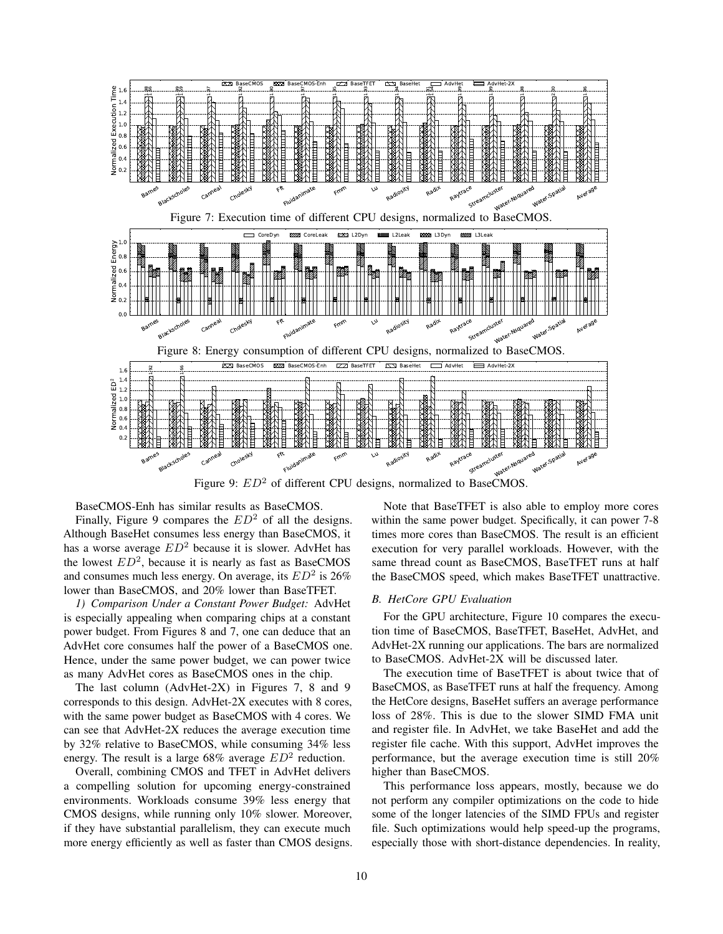

BaseCMOS-Enh has similar results as BaseCMOS.

Finally, Figure 9 compares the  $ED^2$  of all the designs. Although BaseHet consumes less energy than BaseCMOS, it has a worse average  $ED^2$  because it is slower. AdvHet has the lowest  $ED^2$ , because it is nearly as fast as BaseCMOS and consumes much less energy. On average, its  $ED^2$  is 26% lower than BaseCMOS, and 20% lower than BaseTFET.

*1) Comparison Under a Constant Power Budget:* AdvHet is especially appealing when comparing chips at a constant power budget. From Figures 8 and 7, one can deduce that an AdvHet core consumes half the power of a BaseCMOS one. Hence, under the same power budget, we can power twice as many AdvHet cores as BaseCMOS ones in the chip.

The last column (AdvHet-2X) in Figures 7, 8 and 9 corresponds to this design. AdvHet-2X executes with 8 cores, with the same power budget as BaseCMOS with 4 cores. We can see that AdvHet-2X reduces the average execution time by 32% relative to BaseCMOS, while consuming 34% less energy. The result is a large 68% average  $ED^2$  reduction.

Overall, combining CMOS and TFET in AdvHet delivers a compelling solution for upcoming energy-constrained environments. Workloads consume 39% less energy that CMOS designs, while running only 10% slower. Moreover, if they have substantial parallelism, they can execute much more energy efficiently as well as faster than CMOS designs.

Note that BaseTFET is also able to employ more cores within the same power budget. Specifically, it can power 7-8 times more cores than BaseCMOS. The result is an efficient execution for very parallel workloads. However, with the same thread count as BaseCMOS, BaseTFET runs at half the BaseCMOS speed, which makes BaseTFET unattractive.

# *B. HetCore GPU Evaluation*

For the GPU architecture, Figure 10 compares the execution time of BaseCMOS, BaseTFET, BaseHet, AdvHet, and AdvHet-2X running our applications. The bars are normalized to BaseCMOS. AdvHet-2X will be discussed later.

The execution time of BaseTFET is about twice that of BaseCMOS, as BaseTFET runs at half the frequency. Among the HetCore designs, BaseHet suffers an average performance loss of 28%. This is due to the slower SIMD FMA unit and register file. In AdvHet, we take BaseHet and add the register file cache. With this support, AdvHet improves the performance, but the average execution time is still 20% higher than BaseCMOS.

This performance loss appears, mostly, because we do not perform any compiler optimizations on the code to hide some of the longer latencies of the SIMD FPUs and register file. Such optimizations would help speed-up the programs, especially those with short-distance dependencies. In reality,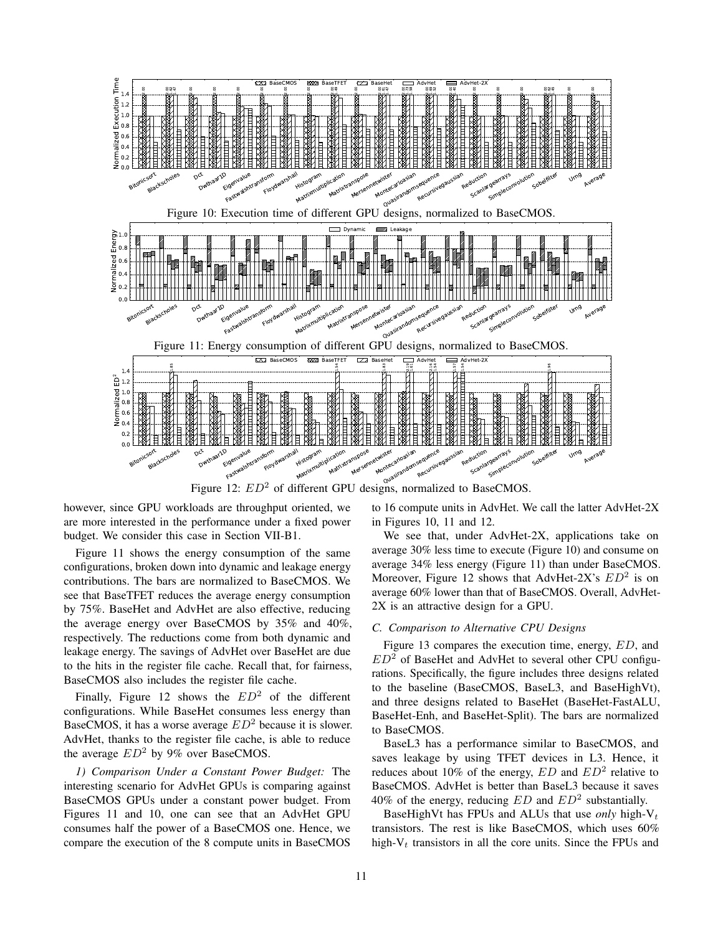

Figure 12:  $ED^2$  of different GPU designs, normalized to BaseCMOS.

however, since GPU workloads are throughput oriented, we are more interested in the performance under a fixed power budget. We consider this case in Section VII-B1.

Figure 11 shows the energy consumption of the same configurations, broken down into dynamic and leakage energy contributions. The bars are normalized to BaseCMOS. We see that BaseTFET reduces the average energy consumption by 75%. BaseHet and AdvHet are also effective, reducing the average energy over BaseCMOS by 35% and 40%, respectively. The reductions come from both dynamic and leakage energy. The savings of AdvHet over BaseHet are due to the hits in the register file cache. Recall that, for fairness, BaseCMOS also includes the register file cache.

Finally, Figure 12 shows the  $ED^2$  of the different configurations. While BaseHet consumes less energy than BaseCMOS, it has a worse average  $ED^2$  because it is slower. AdvHet, thanks to the register file cache, is able to reduce the average  $ED^2$  by 9% over BaseCMOS.

*1) Comparison Under a Constant Power Budget:* The interesting scenario for AdvHet GPUs is comparing against BaseCMOS GPUs under a constant power budget. From Figures 11 and 10, one can see that an AdvHet GPU consumes half the power of a BaseCMOS one. Hence, we compare the execution of the 8 compute units in BaseCMOS to 16 compute units in AdvHet. We call the latter AdvHet-2X in Figures 10, 11 and 12.

We see that, under AdvHet-2X, applications take on average 30% less time to execute (Figure 10) and consume on average 34% less energy (Figure 11) than under BaseCMOS. Moreover, Figure 12 shows that AdvHet-2X's  $ED^2$  is on average 60% lower than that of BaseCMOS. Overall, AdvHet-2X is an attractive design for a GPU.

### *C. Comparison to Alternative CPU Designs*

Figure 13 compares the execution time, energy, ED, and  $ED<sup>2</sup>$  of BaseHet and AdvHet to several other CPU configurations. Specifically, the figure includes three designs related to the baseline (BaseCMOS, BaseL3, and BaseHighVt), and three designs related to BaseHet (BaseHet-FastALU, BaseHet-Enh, and BaseHet-Split). The bars are normalized to BaseCMOS.

BaseL3 has a performance similar to BaseCMOS, and saves leakage by using TFET devices in L3. Hence, it reduces about 10% of the energy,  $ED$  and  $ED^2$  relative to BaseCMOS. AdvHet is better than BaseL3 because it saves 40% of the energy, reducing  $ED$  and  $ED<sup>2</sup>$  substantially.

BaseHighVt has FPUs and ALUs that use *only* high- $V_t$ transistors. The rest is like BaseCMOS, which uses 60% high- $V_t$  transistors in all the core units. Since the FPUs and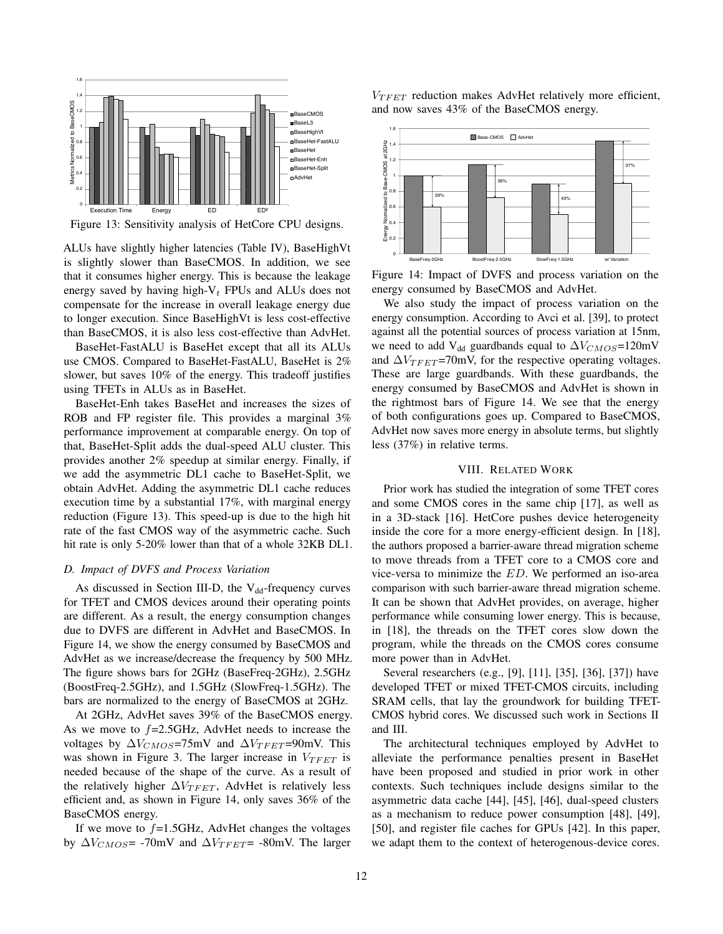

Figure 13: Sensitivity analysis of HetCore CPU designs.

ALUs have slightly higher latencies (Table IV), BaseHighVt is slightly slower than BaseCMOS. In addition, we see that it consumes higher energy. This is because the leakage energy saved by having high- $V_t$  FPUs and ALUs does not compensate for the increase in overall leakage energy due to longer execution. Since BaseHighVt is less cost-effective than BaseCMOS, it is also less cost-effective than AdvHet.

BaseHet-FastALU is BaseHet except that all its ALUs use CMOS. Compared to BaseHet-FastALU, BaseHet is 2% slower, but saves 10% of the energy. This tradeoff justifies using TFETs in ALUs as in BaseHet.

BaseHet-Enh takes BaseHet and increases the sizes of ROB and FP register file. This provides a marginal 3% performance improvement at comparable energy. On top of that, BaseHet-Split adds the dual-speed ALU cluster. This provides another 2% speedup at similar energy. Finally, if we add the asymmetric DL1 cache to BaseHet-Split, we obtain AdvHet. Adding the asymmetric DL1 cache reduces execution time by a substantial 17%, with marginal energy reduction (Figure 13). This speed-up is due to the high hit rate of the fast CMOS way of the asymmetric cache. Such hit rate is only 5-20% lower than that of a whole 32KB DL1.

### *D. Impact of DVFS and Process Variation*

As discussed in Section III-D, the  $V_{dd}$ -frequency curves for TFET and CMOS devices around their operating points are different. As a result, the energy consumption changes due to DVFS are different in AdvHet and BaseCMOS. In Figure 14, we show the energy consumed by BaseCMOS and AdvHet as we increase/decrease the frequency by 500 MHz. The figure shows bars for 2GHz (BaseFreq-2GHz), 2.5GHz (BoostFreq-2.5GHz), and 1.5GHz (SlowFreq-1.5GHz). The bars are normalized to the energy of BaseCMOS at 2GHz.

At 2GHz, AdvHet saves 39% of the BaseCMOS energy. As we move to  $f=2.5$ GHz, AdvHet needs to increase the voltages by  $\Delta V_{CMOS}$ =75mV and  $\Delta V_{TFET}$ =90mV. This was shown in Figure 3. The larger increase in  $V_{T F E T}$  is needed because of the shape of the curve. As a result of the relatively higher  $\Delta V_{TFET}$ , AdvHet is relatively less efficient and, as shown in Figure 14, only saves 36% of the BaseCMOS energy.

If we move to  $f=1.5$ GHz, AdvHet changes the voltages by  $\Delta V_{CMOS}$ = -70mV and  $\Delta V_{TFET}$ = -80mV. The larger  $V_{TFET}$  reduction makes AdvHet relatively more efficient, and now saves 43% of the BaseCMOS energy.



Figure 14: Impact of DVFS and process variation on the energy consumed by BaseCMOS and AdvHet.

We also study the impact of process variation on the energy consumption. According to Avci et al. [39], to protect against all the potential sources of process variation at 15nm, we need to add V<sub>dd</sub> guardbands equal to  $\Delta V_{CMOS}$ =120mV and  $\Delta V_{TFFT}$ =70mV, for the respective operating voltages. These are large guardbands. With these guardbands, the energy consumed by BaseCMOS and AdvHet is shown in the rightmost bars of Figure 14. We see that the energy of both configurations goes up. Compared to BaseCMOS, AdvHet now saves more energy in absolute terms, but slightly less (37%) in relative terms.

# VIII. RELATED WORK

Prior work has studied the integration of some TFET cores and some CMOS cores in the same chip [17], as well as in a 3D-stack [16]. HetCore pushes device heterogeneity inside the core for a more energy-efficient design. In [18], the authors proposed a barrier-aware thread migration scheme to move threads from a TFET core to a CMOS core and vice-versa to minimize the ED. We performed an iso-area comparison with such barrier-aware thread migration scheme. It can be shown that AdvHet provides, on average, higher performance while consuming lower energy. This is because, in [18], the threads on the TFET cores slow down the program, while the threads on the CMOS cores consume more power than in AdvHet.

Several researchers (e.g., [9], [11], [35], [36], [37]) have developed TFET or mixed TFET-CMOS circuits, including SRAM cells, that lay the groundwork for building TFET-CMOS hybrid cores. We discussed such work in Sections II and III.

The architectural techniques employed by AdvHet to alleviate the performance penalties present in BaseHet have been proposed and studied in prior work in other contexts. Such techniques include designs similar to the asymmetric data cache [44], [45], [46], dual-speed clusters as a mechanism to reduce power consumption [48], [49], [50], and register file caches for GPUs [42]. In this paper, we adapt them to the context of heterogenous-device cores.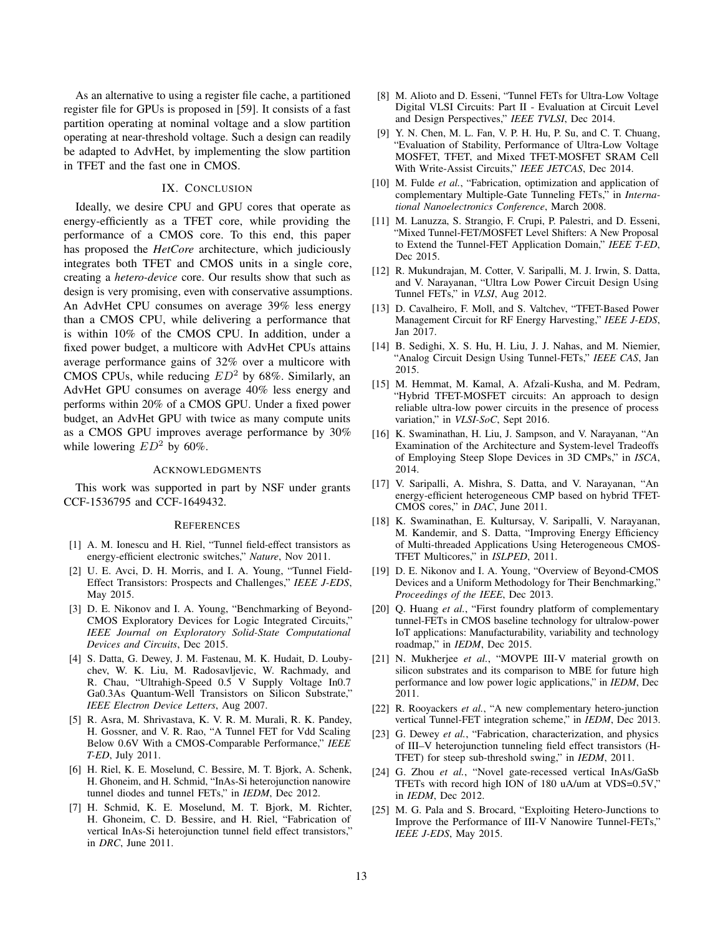As an alternative to using a register file cache, a partitioned register file for GPUs is proposed in [59]. It consists of a fast partition operating at nominal voltage and a slow partition operating at near-threshold voltage. Such a design can readily be adapted to AdvHet, by implementing the slow partition in TFET and the fast one in CMOS.

# IX. CONCLUSION

Ideally, we desire CPU and GPU cores that operate as energy-efficiently as a TFET core, while providing the performance of a CMOS core. To this end, this paper has proposed the *HetCore* architecture, which judiciously integrates both TFET and CMOS units in a single core, creating a *hetero-device* core. Our results show that such as design is very promising, even with conservative assumptions. An AdvHet CPU consumes on average 39% less energy than a CMOS CPU, while delivering a performance that is within 10% of the CMOS CPU. In addition, under a fixed power budget, a multicore with AdvHet CPUs attains average performance gains of 32% over a multicore with CMOS CPUs, while reducing  $ED^2$  by 68%. Similarly, an AdvHet GPU consumes on average 40% less energy and performs within 20% of a CMOS GPU. Under a fixed power budget, an AdvHet GPU with twice as many compute units as a CMOS GPU improves average performance by 30% while lowering  $ED^2$  by 60%.

### ACKNOWLEDGMENTS

This work was supported in part by NSF under grants CCF-1536795 and CCF-1649432.

#### **REFERENCES**

- [1] A. M. Ionescu and H. Riel, "Tunnel field-effect transistors as energy-efficient electronic switches," *Nature*, Nov 2011.
- [2] U. E. Avci, D. H. Morris, and I. A. Young, "Tunnel Field-Effect Transistors: Prospects and Challenges," *IEEE J-EDS*, May 2015.
- [3] D. E. Nikonov and I. A. Young, "Benchmarking of Beyond-CMOS Exploratory Devices for Logic Integrated Circuits," *IEEE Journal on Exploratory Solid-State Computational Devices and Circuits*, Dec 2015.
- [4] S. Datta, G. Dewey, J. M. Fastenau, M. K. Hudait, D. Loubychev, W. K. Liu, M. Radosavljevic, W. Rachmady, and R. Chau, "Ultrahigh-Speed 0.5 V Supply Voltage In0.7 Ga0.3As Quantum-Well Transistors on Silicon Substrate," *IEEE Electron Device Letters*, Aug 2007.
- [5] R. Asra, M. Shrivastava, K. V. R. M. Murali, R. K. Pandey, H. Gossner, and V. R. Rao, "A Tunnel FET for Vdd Scaling Below 0.6V With a CMOS-Comparable Performance," *IEEE T-ED*, July 2011.
- [6] H. Riel, K. E. Moselund, C. Bessire, M. T. Bjork, A. Schenk, H. Ghoneim, and H. Schmid, "InAs-Si heterojunction nanowire tunnel diodes and tunnel FETs," in *IEDM*, Dec 2012.
- [7] H. Schmid, K. E. Moselund, M. T. Bjork, M. Richter, H. Ghoneim, C. D. Bessire, and H. Riel, "Fabrication of vertical InAs-Si heterojunction tunnel field effect transistors," in *DRC*, June 2011.
- [8] M. Alioto and D. Esseni, "Tunnel FETs for Ultra-Low Voltage Digital VLSI Circuits: Part II - Evaluation at Circuit Level and Design Perspectives," *IEEE TVLSI*, Dec 2014.
- [9] Y. N. Chen, M. L. Fan, V. P. H. Hu, P. Su, and C. T. Chuang, "Evaluation of Stability, Performance of Ultra-Low Voltage MOSFET, TFET, and Mixed TFET-MOSFET SRAM Cell With Write-Assist Circuits," *IEEE JETCAS*, Dec 2014.
- [10] M. Fulde *et al.*, "Fabrication, optimization and application of complementary Multiple-Gate Tunneling FETs," in *International Nanoelectronics Conference*, March 2008.
- [11] M. Lanuzza, S. Strangio, F. Crupi, P. Palestri, and D. Esseni, "Mixed Tunnel-FET/MOSFET Level Shifters: A New Proposal to Extend the Tunnel-FET Application Domain," *IEEE T-ED*, Dec 2015.
- [12] R. Mukundrajan, M. Cotter, V. Saripalli, M. J. Irwin, S. Datta, and V. Narayanan, "Ultra Low Power Circuit Design Using Tunnel FETs," in *VLSI*, Aug 2012.
- [13] D. Cavalheiro, F. Moll, and S. Valtchev, "TFET-Based Power Management Circuit for RF Energy Harvesting," *IEEE J-EDS*, Jan 2017.
- [14] B. Sedighi, X. S. Hu, H. Liu, J. J. Nahas, and M. Niemier, "Analog Circuit Design Using Tunnel-FETs," *IEEE CAS*, Jan 2015.
- [15] M. Hemmat, M. Kamal, A. Afzali-Kusha, and M. Pedram, "Hybrid TFET-MOSFET circuits: An approach to design reliable ultra-low power circuits in the presence of process variation," in *VLSI-SoC*, Sept 2016.
- [16] K. Swaminathan, H. Liu, J. Sampson, and V. Narayanan, "An Examination of the Architecture and System-level Tradeoffs of Employing Steep Slope Devices in 3D CMPs," in *ISCA*, 2014.
- [17] V. Saripalli, A. Mishra, S. Datta, and V. Narayanan, "An energy-efficient heterogeneous CMP based on hybrid TFET-CMOS cores," in *DAC*, June 2011.
- [18] K. Swaminathan, E. Kultursay, V. Saripalli, V. Narayanan, M. Kandemir, and S. Datta, "Improving Energy Efficiency of Multi-threaded Applications Using Heterogeneous CMOS-TFET Multicores," in *ISLPED*, 2011.
- [19] D. E. Nikonov and I. A. Young, "Overview of Beyond-CMOS Devices and a Uniform Methodology for Their Benchmarking," *Proceedings of the IEEE*, Dec 2013.
- [20] Q. Huang *et al.*, "First foundry platform of complementary tunnel-FETs in CMOS baseline technology for ultralow-power IoT applications: Manufacturability, variability and technology roadmap," in *IEDM*, Dec 2015.
- [21] N. Mukherjee *et al.*, "MOVPE III-V material growth on silicon substrates and its comparison to MBE for future high performance and low power logic applications," in *IEDM*, Dec 2011.
- [22] R. Rooyackers *et al.*, "A new complementary hetero-junction vertical Tunnel-FET integration scheme," in *IEDM*, Dec 2013.
- [23] G. Dewey *et al.*, "Fabrication, characterization, and physics of III–V heterojunction tunneling field effect transistors (H-TFET) for steep sub-threshold swing," in *IEDM*, 2011.
- [24] G. Zhou *et al.*, "Novel gate-recessed vertical InAs/GaSb TFETs with record high ION of 180 uA/um at VDS=0.5V," in *IEDM*, Dec 2012.
- [25] M. G. Pala and S. Brocard, "Exploiting Hetero-Junctions to Improve the Performance of III-V Nanowire Tunnel-FETs," *IEEE J-EDS*, May 2015.